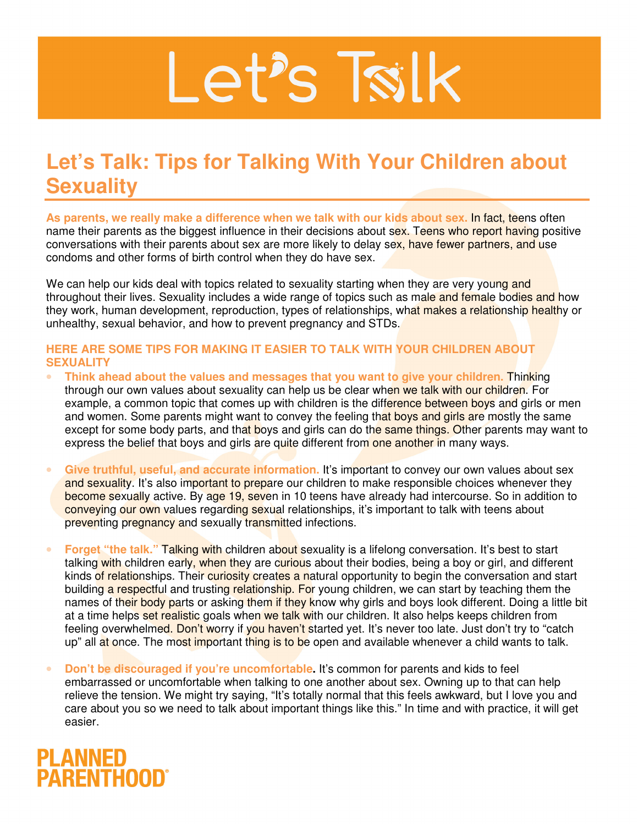## Let's Tsilk

## **Let's Talk: Tips for Talking With Your Children about Sexuality**

**As parents, we really make a difference when we talk with our kids about sex.** In fact, teens often name their parents as the biggest influence in their decisions about sex. Teens who report having positive conversations with their parents about sex are more likely to delay sex, have fewer partners, and use condoms and other forms of birth control when they do have sex.

We can help our kids deal with topics related to sexuality starting when they are very young and throughout their lives. Sexuality includes a wide range of topics such as male and female bodies and how they work, human development, reproduction, types of relationships, what makes a relationship healthy or unhealthy, sexual behavior, and how to prevent pregnancy and STDs.

## **HERE ARE SOME TIPS FOR MAKING IT EASIER TO TALK WITH YOUR CHILDREN ABOUT SEXUALITY**

- **Think ahead about the values and messages that you want to give your children.** Thinking through our own values about sexuality can help us be clear when we talk with our children. For example, a common topic that comes up with children is the difference between boys and girls or men and women. Some parents might want to convey the feeling that boys and girls are mostly the same except for some body parts, and that boys and girls can do the same things. Other parents may want to express the belief that boys and girls are quite different from one another in many ways.
- Give truthful, useful, and accurate information. It's important to convey our own values about sex and sexuality. It's also important to prepare our children to make responsible choices whenever they become sexually active. By age 19, seven in 10 teens have already had intercourse. So in addition to conveying our own values regarding sexual relationships, it's important to talk with teens about preventing pregnancy and sexually transmitted infections.
- **Forget "the talk." Talking with children about sexuality is a lifelong conversation. It's best to start** talking with children early, when they are curious about their bodies, being a boy or girl, and different kinds of relationships. Their curiosity creates a natural opportunity to begin the conversation and start building a respectful and trusting relationship. For young children, we can start by teaching them the names of their body parts or asking them if they know why girls and boys look different. Doing a little bit at a time helps set realistic goals when we talk with our children. It also helps keeps children from feeling overwhelmed. Don't worry if you haven't started yet. It's never too late. Just don't try to "catch up" all at once. The most important thing is to be open and available whenever a child wants to talk.
- **Don't be discouraged if you're uncomfortable.** It's common for parents and kids to feel embarrassed or uncomfortable when talking to one another about sex. Owning up to that can help relieve the tension. We might try saying, "It's totally normal that this feels awkward, but I love you and care about you so we need to talk about important things like this." In time and with practice, it will get easier.

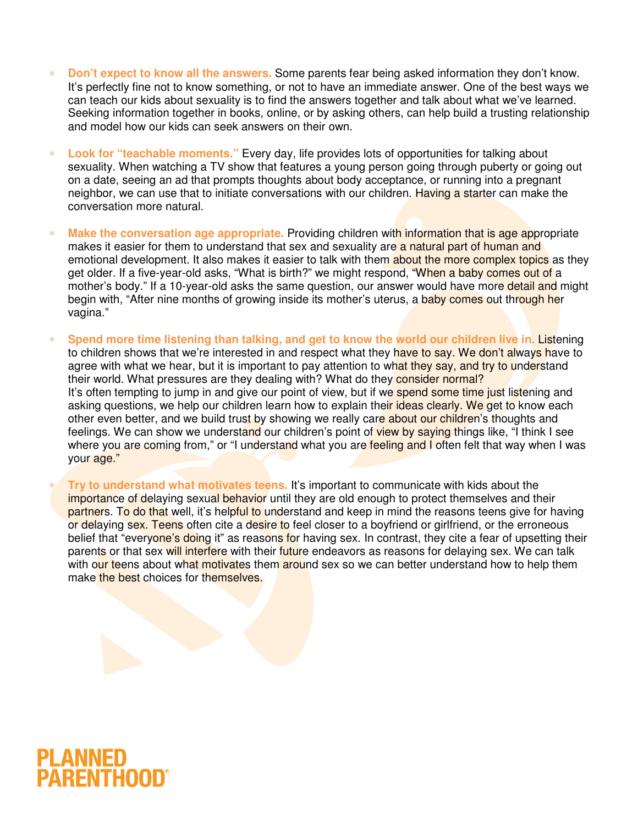- **Don't expect to know all the answers.** Some parents fear being asked information they don't know. It's perfectly fine not to know something, or not to have an immediate answer. One of the best ways we can teach our kids about sexuality is to find the answers together and talk about what we've learned. Seeking information together in books, online, or by asking others, can help build a trusting relationship and model how our kids can seek answers on their own.
- **Look for "teachable moments."** Every day, life provides lots of opportunities for talking about sexuality. When watching a TV show that features a young person going through puberty or going out on a date, seeing an ad that prompts thoughts about body acceptance, or running into a pregnant neighbor, we can use that to initiate conversations with our children. Having a starter can make the conversation more natural.
- **Make the conversation age appropriate.** Providing children with information that is age appropriate makes it easier for them to understand that sex and sexuality are a natural part of human and emotional development. It also makes it easier to talk with them about the more complex topics as they get older. If a five-year-old asks, "What is birth?" we might respond, "When a baby comes out of a mother's body." If a 10-year-old asks the same question, our answer would have more detail and might begin with, "After nine months of growing inside its mother's uterus, a baby comes out through her vagina."
- **Spend more time listening than talking, and get to know the world our children live in.** Listening to children shows that we're interested in and respect what they have to say. We don't always have to agree with what we hear, but it is important to pay attention to what they say, and try to understand their world. What pressures are they dealing with? What do they consider normal? It's often tempting to jump in and give our point of view, but if we spend some time just listening and asking questions, we help our children learn how to explain their ideas clearly. We get to know each other even better, and we build trust by showing we really care about our children's thoughts and feelings. We can show we understand our children's point of view by saying things like, "I think I see where you are coming from," or "I understand what you are feeling and I often felt that way when I was your age."

• **Try to understand what motivates teens.** It's important to communicate with kids about the importance of delaying sexual behavior until they are old enough to protect themselves and their partners. To do that well, it's helpful to understand and keep in mind the reasons teens give for having or delaying sex. Teens often cite a desire to feel closer to a boyfriend or girlfriend, or the erroneous belief that "everyone's doing it" as reasons for having sex. In contrast, they cite a fear of upsetting their parents or that sex will interfere with their future endeavors as reasons for delaying sex. We can talk with our teens about what motivates them around sex so we can better understand how to help them make the best choices for themselves.